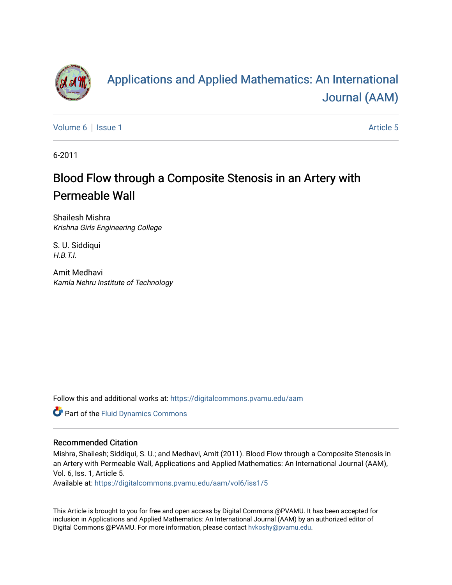

# [Applications and Applied Mathematics: An International](https://digitalcommons.pvamu.edu/aam)  [Journal \(AAM\)](https://digitalcommons.pvamu.edu/aam)

[Volume 6](https://digitalcommons.pvamu.edu/aam/vol6) | [Issue 1](https://digitalcommons.pvamu.edu/aam/vol6/iss1) Article 5

6-2011

# Blood Flow through a Composite Stenosis in an Artery with Permeable Wall

Shailesh Mishra Krishna Girls Engineering College

S. U. Siddiqui H.B.T.I.

Amit Medhavi Kamla Nehru Institute of Technology

Follow this and additional works at: [https://digitalcommons.pvamu.edu/aam](https://digitalcommons.pvamu.edu/aam?utm_source=digitalcommons.pvamu.edu%2Faam%2Fvol6%2Fiss1%2F5&utm_medium=PDF&utm_campaign=PDFCoverPages) 

Part of the [Fluid Dynamics Commons](http://network.bepress.com/hgg/discipline/201?utm_source=digitalcommons.pvamu.edu%2Faam%2Fvol6%2Fiss1%2F5&utm_medium=PDF&utm_campaign=PDFCoverPages) 

#### Recommended Citation

Mishra, Shailesh; Siddiqui, S. U.; and Medhavi, Amit (2011). Blood Flow through a Composite Stenosis in an Artery with Permeable Wall, Applications and Applied Mathematics: An International Journal (AAM), Vol. 6, Iss. 1, Article 5.

Available at: [https://digitalcommons.pvamu.edu/aam/vol6/iss1/5](https://digitalcommons.pvamu.edu/aam/vol6/iss1/5?utm_source=digitalcommons.pvamu.edu%2Faam%2Fvol6%2Fiss1%2F5&utm_medium=PDF&utm_campaign=PDFCoverPages) 

This Article is brought to you for free and open access by Digital Commons @PVAMU. It has been accepted for inclusion in Applications and Applied Mathematics: An International Journal (AAM) by an authorized editor of Digital Commons @PVAMU. For more information, please contact [hvkoshy@pvamu.edu.](mailto:hvkoshy@pvamu.edu)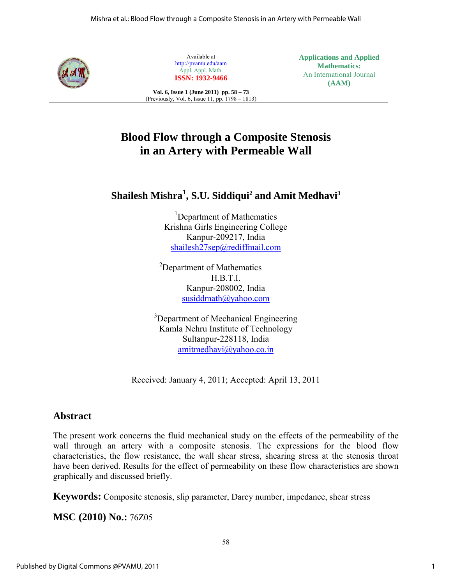

Available at http://pvamu.edu/aam Appl. Appl. Math. **ISSN: 1932-9466**

**Applications and Applied Mathematics:**  An International Journal **(AAM)** 

**Vol. 6, Issue 1 (June 2011) pp. 58 – 73**  (Previously, Vol. 6, Issue 11, pp. 1798 – 1813)

## **Blood Flow through a Composite Stenosis in an Artery with Permeable Wall**

### **Shailesh Mishra<sup>1</sup> , S.U. Siddiqui2 and Amit Medhavi3**

<sup>1</sup>Department of Mathematics Krishna Girls Engineering College Kanpur-209217, India shailesh27sep@rediffmail.com

<sup>2</sup>Department of Mathematics H.B.T.I. Kanpur-208002, India susiddmath@yahoo.com

<sup>3</sup>Department of Mechanical Engineering Kamla Nehru Institute of Technology Sultanpur-228118, India amitmedhavi@yahoo.co.in

Received: January 4, 2011; Accepted: April 13, 2011

### **Abstract**

The present work concerns the fluid mechanical study on the effects of the permeability of the wall through an artery with a composite stenosis. The expressions for the blood flow characteristics, the flow resistance, the wall shear stress, shearing stress at the stenosis throat have been derived. Results for the effect of permeability on these flow characteristics are shown graphically and discussed briefly.

**Keywords:** Composite stenosis, slip parameter, Darcy number, impedance, shear stress

**MSC (2010) No.:** 76Z05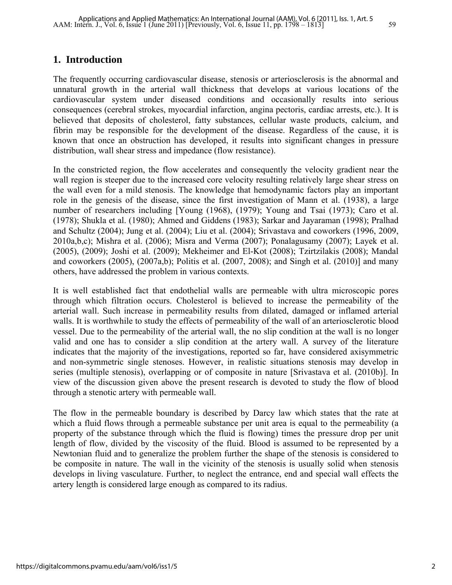#### **1. Introduction**

The frequently occurring cardiovascular disease, stenosis or arteriosclerosis is the abnormal and unnatural growth in the arterial wall thickness that develops at various locations of the cardiovascular system under diseased conditions and occasionally results into serious consequences (cerebral strokes, myocardial infarction, angina pectoris, cardiac arrests, etc.). It is believed that deposits of cholesterol, fatty substances, cellular waste products, calcium, and fibrin may be responsible for the development of the disease. Regardless of the cause, it is known that once an obstruction has developed, it results into significant changes in pressure distribution, wall shear stress and impedance (flow resistance).

In the constricted region, the flow accelerates and consequently the velocity gradient near the wall region is steeper due to the increased core velocity resulting relatively large shear stress on the wall even for a mild stenosis. The knowledge that hemodynamic factors play an important role in the genesis of the disease, since the first investigation of Mann et al. (1938), a large number of researchers including [Young (1968), (1979); Young and Tsai (1973); Caro et al. (1978); Shukla et al. (1980); Ahmed and Giddens (1983); Sarkar and Jayaraman (1998); Pralhad and Schultz (2004); Jung et al. (2004); Liu et al. (2004); Srivastava and coworkers (1996, 2009, 2010a,b,c); Mishra et al. (2006); Misra and Verma (2007); Ponalagusamy (2007); Layek et al. (2005), (2009); Joshi et al. (2009); Mekheimer and El-Kot (2008); Tzirtzilakis (2008); Mandal and coworkers (2005), (2007a,b); Politis et al. (2007, 2008); and Singh et al. (2010)] and many others, have addressed the problem in various contexts.

It is well established fact that endothelial walls are permeable with ultra microscopic pores through which filtration occurs. Cholesterol is believed to increase the permeability of the arterial wall. Such increase in permeability results from dilated, damaged or inflamed arterial walls. It is worthwhile to study the effects of permeability of the wall of an arteriosclerotic blood vessel. Due to the permeability of the arterial wall, the no slip condition at the wall is no longer valid and one has to consider a slip condition at the artery wall. A survey of the literature indicates that the majority of the investigations, reported so far, have considered axisymmetric and non-symmetric single stenoses. However, in realistic situations stenosis may develop in series (multiple stenosis), overlapping or of composite in nature [Srivastava et al. (2010b)]. In view of the discussion given above the present research is devoted to study the flow of blood through a stenotic artery with permeable wall.

The flow in the permeable boundary is described by Darcy law which states that the rate at which a fluid flows through a permeable substance per unit area is equal to the permeability (a property of the substance through which the fluid is flowing) times the pressure drop per unit length of flow, divided by the viscosity of the fluid. Blood is assumed to be represented by a Newtonian fluid and to generalize the problem further the shape of the stenosis is considered to be composite in nature. The wall in the vicinity of the stenosis is usually solid when stenosis develops in living vasculature. Further, to neglect the entrance, end and special wall effects the artery length is considered large enough as compared to its radius.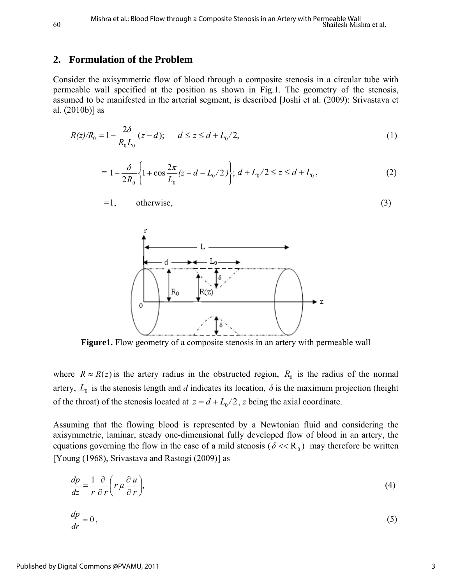#### **2. Formulation of the Problem**

Consider the axisymmetric flow of blood through a composite stenosis in a circular tube with permeable wall specified at the position as shown in Fig.1. The geometry of the stenosis, assumed to be manifested in the arterial segment, is described [Joshi et al. (2009): Srivastava et al. (2010b)] as

$$
R(z)/R_0 = 1 - \frac{2\delta}{R_0 L_0} (z - d); \qquad d \le z \le d + L_0/2,
$$
\n(1)

$$
= 1 - \frac{\delta}{2R_0} \left\{ 1 + \cos \frac{2\pi}{L_0} (z - d - L_0/2) \right\}; d + L_0/2 \le z \le d + L_0,
$$
 (2)

$$
=1, \qquad \text{otherwise}, \tag{3}
$$



**Figure1.** Flow geometry of a composite stenosis in an artery with permeable wall

where  $R \approx R(z)$  is the artery radius in the obstructed region,  $R_0$  is the radius of the normal artery,  $L_0$  is the stenosis length and *d* indicates its location,  $\delta$  is the maximum projection (height of the throat) of the stenosis located at  $z = d + L_0/2$ , *z* being the axial coordinate.

Assuming that the flowing blood is represented by a Newtonian fluid and considering the axisymmetric, laminar, steady one-dimensional fully developed flow of blood in an artery, the equations governing the flow in the case of a mild stenosis ( $\delta \ll R_0$ ) may therefore be written [Young (1968), Srivastava and Rastogi (2009)] as

$$
\frac{dp}{dz} = \frac{1}{r} \frac{\partial}{\partial r} \left( r \mu \frac{\partial u}{\partial r} \right),\tag{4}
$$

$$
\frac{dp}{dr} = 0\,,\tag{5}
$$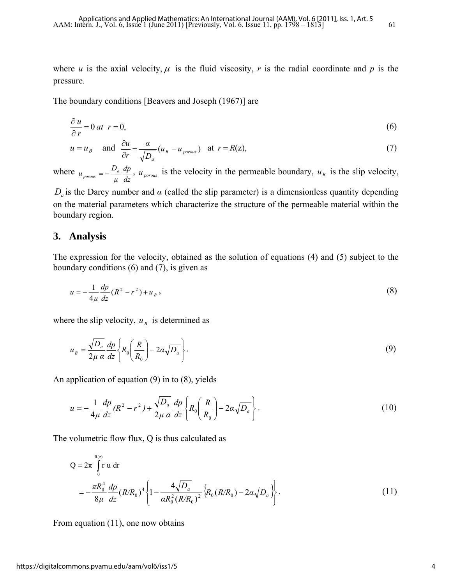where *u* is the axial velocity,  $\mu$  is the fluid viscosity, *r* is the radial coordinate and *p* is the pressure.

The boundary conditions [Beavers and Joseph (1967)] are

$$
\frac{\partial u}{\partial r} = 0 \text{ at } r = 0,
$$
\n(6)

$$
u = u_B
$$
 and  $\frac{\partial u}{\partial r} = \frac{\alpha}{\sqrt{D_a}} (u_B - u_{porous})$  at  $r = R(z)$ , (7)

where *dz dp μ*  $u_{\text{porous}} = -\frac{D_a}{I_a} \frac{dp}{dt}$ ,  $u_{\text{porous}}$  is the velocity in the permeable boundary,  $u_B$  is the slip velocity,

 $D_a$  is the Darcy number and  $\alpha$  (called the slip parameter) is a dimensionless quantity depending on the material parameters which characterize the structure of the permeable material within the boundary region.

#### **3. Analysis**

The expression for the velocity, obtained as the solution of equations (4) and (5) subject to the boundary conditions (6) and (7), is given as

$$
u = -\frac{1}{4\mu} \frac{dp}{dz} (R^2 - r^2) + u_B,
$$
\n(8)

where the slip velocity,  $u_B$  is determined as

$$
u_B = \frac{\sqrt{D_a}}{2\mu \alpha} \frac{dp}{dz} \left\{ R_0 \left( \frac{R}{R_0} \right) - 2\alpha \sqrt{D_a} \right\}.
$$
 (9)

An application of equation (9) in to (8), yields

$$
u = -\frac{1}{4\mu} \frac{dp}{dz} (R^2 - r^2) + \frac{\sqrt{D_a}}{2\mu \alpha} \frac{dp}{dz} \left\{ R_0 \left( \frac{R}{R_0} \right) - 2\alpha \sqrt{D_a} \right\}.
$$
 (10)

The volumetric flow flux, Q is thus calculated as

$$
Q = 2\pi \int_{0}^{R(z)} r u dr
$$
  
=  $-\frac{\pi R_0^4}{8\mu} \frac{dp}{dz} (R/R_0)^4 \left\{ 1 - \frac{4\sqrt{D_a}}{\alpha R_0^2 (R/R_0)^2} \left\{ R_0 (R/R_0) - 2\alpha \sqrt{D_a} \right\} \right\}.$  (11)

From equation (11), one now obtains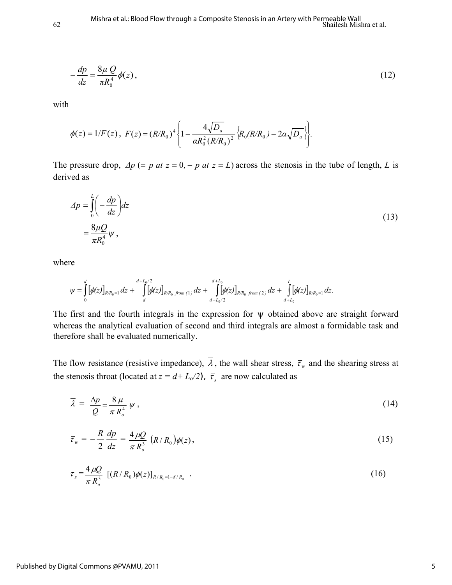$$
-\frac{dp}{dz} = \frac{8\mu Q}{\pi R_0^4} \phi(z),\tag{12}
$$

with

$$
\phi(z) = 1/F(z), \ F(z) = (R/R_0)^4 \left\{ 1 - \frac{4\sqrt{D_a}}{\alpha R_0^2 (R/R_0)^2} \left\{ R_0 (R/R_0) - 2\alpha \sqrt{D_a} \right\} \right\}.
$$

The pressure drop,  $\Delta p$  (= *p* at  $z = 0$ , - *p* at  $z = L$ ) across the stenosis in the tube of length, *L* is derived as

$$
\Delta p = \int_0^L \left( -\frac{dp}{dz} \right) dz
$$
  
=  $\frac{8\mu Q}{\pi R_0^4} \psi$ , (13)

where

$$
\psi = \int_{0}^{d} [\phi(z)]_{RR_{0}=1} dz + \int_{d}^{d+L_{0}/2} [\phi(z)]_{RR_{0} \ from (1)} dz + \int_{d+L_{0}/2}^{d+L_{0}} [\phi(z)]_{RR_{0} \ from (2)} dz + \int_{d+L_{0}}^{L} [\phi(z)]_{RR_{0}=1} dz.
$$

The first and the fourth integrals in the expression for  $\psi$  obtained above are straight forward whereas the analytical evaluation of second and third integrals are almost a formidable task and therefore shall be evaluated numerically.

The flow resistance (resistive impedance),  $\overline{\lambda}$ , the wall shear stress,  $\overline{r}_w$  and the shearing stress at the stenosis throat (located at  $z = d + L_o/2$ ),  $\bar{\tau}_s$  are now calculated as

$$
\overline{\lambda} = \frac{\Delta p}{Q} = \frac{8 \mu}{\pi R_o^4} \psi , \qquad (14)
$$

$$
\bar{\tau}_{w} = -\frac{R}{2} \frac{dp}{dz} = \frac{4 \,\mu Q}{\pi \, R_o^3} \, \left( R / R_0 \right) \phi(z) \,, \tag{15}
$$

$$
\bar{\tau}_s = \frac{4 \,\mu Q}{\pi \, R_o^3} \, \left[ (R/R_0) \phi(z) \right]_{R/R_0 = 1 - \delta/R_0} \, . \tag{16}
$$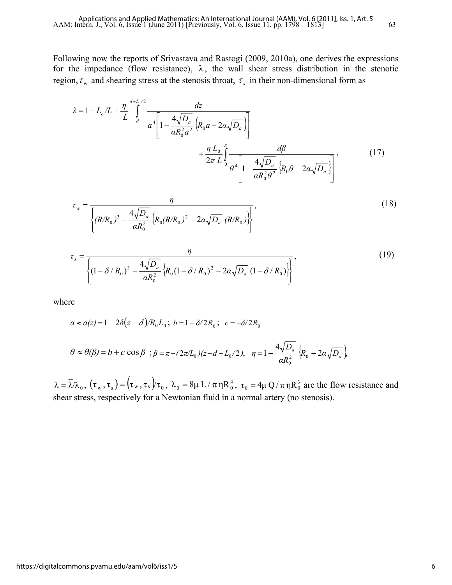Following now the reports of Srivastava and Rastogi (2009, 2010a), one derives the expressions for the impedance (flow resistance),  $\lambda$ , the wall shear stress distribution in the stenotic region,  $\tau_w$  and shearing stress at the stenosis throat,  $\tau_s$  in their non-dimensional form as

$$
\lambda = 1 - L_o/L + \frac{\eta}{L} \int_{d}^{d+L_o/2} \frac{dz}{a^4 \left[ 1 - \frac{4\sqrt{D_a}}{aR_o^2 a^2} \left\{ R_o a - 2\alpha \sqrt{D_a} \right\} \right]} + \frac{\eta L_o}{2\pi L} \int_{0}^{\pi} \frac{d\beta}{\theta^4 \left[ 1 - \frac{4\sqrt{D_a}}{aR_o^2 \theta^2} \left\{ R_o \theta - 2\alpha \sqrt{D_a} \right\} \right]},
$$
(17)

$$
\tau_{w} = \frac{\eta}{\left\{ (R/R_0)^3 - \frac{4\sqrt{D_a}}{\alpha R_0^2} \left\{ R_0 (R/R_0)^2 - 2\alpha \sqrt{D_a} \left( R/R_0 \right) \right\} \right\}},
$$
\n(18)

$$
\tau_{s} = \frac{\eta}{\left\{ (1 - \delta / R_{0})^{3} - \frac{4\sqrt{D_{a}}}{\alpha R_{0}^{2}} \left\{ R_{0} (1 - \delta / R_{0})^{2} - 2\alpha \sqrt{D_{a}} (1 - \delta / R_{0}) \right\} \right\}},
$$
(19)

where

$$
a \approx a(z) = 1 - 2\delta(z - d)/R_0 L_0; \ b = 1 - \delta/2R_0; \ c = -\delta/2R_0
$$
  

$$
\theta \approx \theta(\beta) = b + c \cos \beta; \ \beta = \pi - (2\pi/L_0)(z - d - L_0/2), \ \ \eta = 1 - \frac{4\sqrt{D_a}}{\alpha R_0^2} \Big\{ R_0 - 2\alpha \sqrt{D_a} \Big\}
$$

 $\lambda = \overline{\lambda}/\lambda_0$ ,  $(\tau_w, \tau_s) = (\tau_w, \tau_s)/\tau_0$ ,  $\lambda_0 = 8\mu L/\pi \eta R_0^4$ ,  $\tau_0 = 4\mu Q/\pi \eta R_0^3$  are the flow resistance and shear stress, respectively for a Newtonian fluid in a normal artery (no stenosis).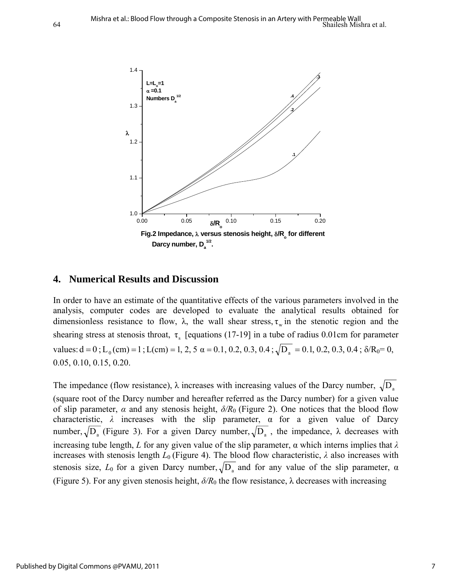

#### **4. Numerical Results and Discussion**

In order to have an estimate of the quantitative effects of the various parameters involved in the analysis, computer codes are developed to evaluate the analytical results obtained for dimensionless resistance to flow,  $\lambda$ , the wall shear stress,  $\tau_w$  in the stenotic region and the shearing stress at stenosis throat,  $\tau_s$  [equations (17-19] in a tube of radius 0.01cm for parameter values:  $d = 0$ ;  $L_0$ (cm) = 1;  $L$ (cm) = 1, 2, 5  $\alpha$  = 0.1, 0.2, 0.3, 0.4;  $\sqrt{D_a}$  = 0.1, 0.2, 0.3, 0.4;  $\delta/R_0$  = 0, 0.05, 0.10, 0.15, 0.20.

The impedance (flow resistance),  $\lambda$  increases with increasing values of the Darcy number,  $\sqrt{D_a}$ (square root of the Darcy number and hereafter referred as the Darcy number) for a given value of slip parameter,  $\alpha$  and any stenosis height,  $\delta/R_0$  (Figure 2). One notices that the blood flow characteristic,  $\lambda$  increases with the slip parameter,  $\alpha$  for a given value of Darcy number,  $\sqrt{D_a}$  (Figure 3). For a given Darcy number,  $\sqrt{D_a}$ , the impedance,  $\lambda$  decreases with increasing tube length, *L* for any given value of the slip parameter,  $\alpha$  which interns implies that  $\lambda$ increases with stenosis length  $L_0$  (Figure 4). The blood flow characteristic,  $\lambda$  also increases with stenosis size,  $L_0$  for a given Darcy number,  $\sqrt{D_a}$  and for any value of the slip parameter,  $\alpha$ (Figure 5). For any given stenosis height, *δ/R*0 the flow resistance, λ decreases with increasing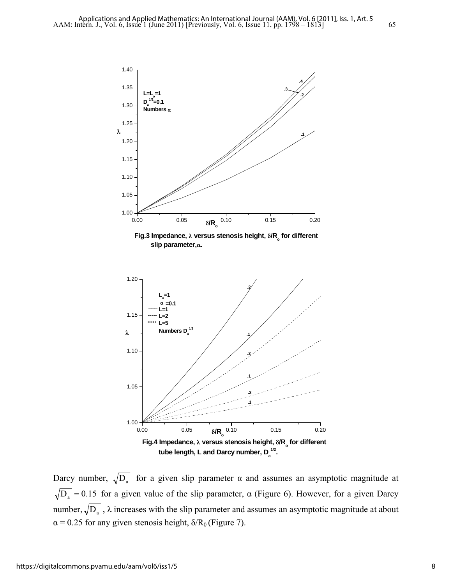



Darcy number,  $\sqrt{D_a}$  for a given slip parameter  $\alpha$  and assumes an asymptotic magnitude at  $\sqrt{D_a}$  = 0.15 for a given value of the slip parameter,  $\alpha$  (Figure 6). However, for a given Darcy number,  $\sqrt{D_a}$ ,  $\lambda$  increases with the slip parameter and assumes an asymptotic magnitude at about  $\alpha$  = 0.25 for any given stenosis height,  $\delta/R_0$  (Figure 7).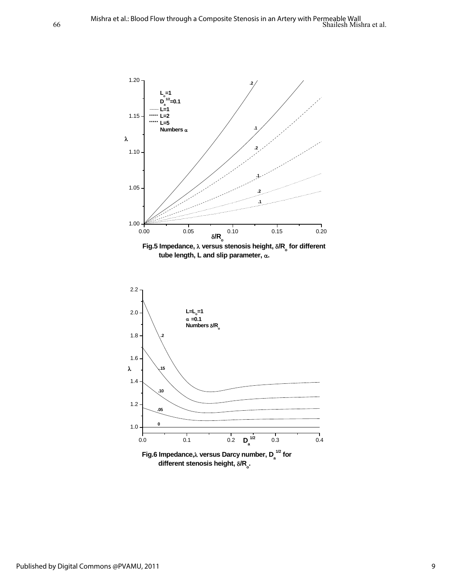



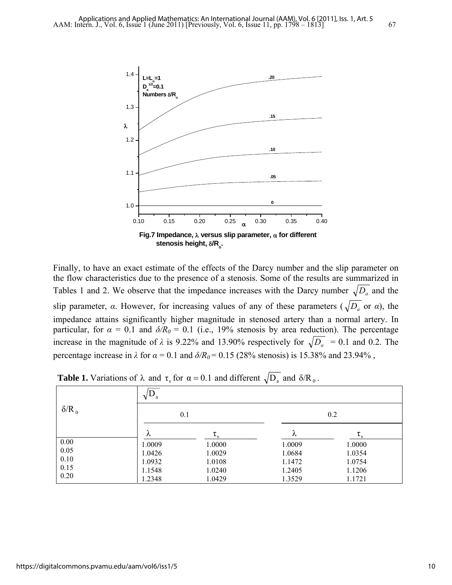

Finally, to have an exact estimate of the effects of the Darcy number and the slip parameter on the flow characteristics due to the presence of a stenosis. Some of the results are summarized in Tables 1 and 2. We observe that the impedance increases with the Darcy number  $\sqrt{D_a}$  and the slip parameter,  $\alpha$ . However, for increasing values of any of these parameters ( $\sqrt{D_a}$  or  $\alpha$ ), the impedance attains significantly higher magnitude in stenosed artery than a normal artery. In particular, for  $\alpha = 0.1$  and  $\delta/R_0 = 0.1$  (i.e., 19% stenosis by area reduction). The percentage increase in the magnitude of  $\lambda$  is 9.22% and 13.90% respectively for  $\sqrt{D_a}$  = 0.1 and 0.2. The percentage increase in  $\lambda$  for  $\alpha = 0.1$  and  $\delta/R_0 = 0.15$  (28% stenosis) is 15.38% and 23.94%,

| $\delta/R_0$ | $\mathbf{U}_a$<br>$\sqrt{ }$ |                |        |                |  |  |
|--------------|------------------------------|----------------|--------|----------------|--|--|
|              | 0.1                          |                | 0.2    |                |  |  |
|              | $\lambda$                    | $\tau_{\rm s}$ | λ      | $\tau_{\rm s}$ |  |  |
| 0.00         | 1.0009                       | 1.0000         | 1.0009 | 1.0000         |  |  |
| 0.05         | 1.0426                       | 1.0029         | 1.0684 | 1.0354         |  |  |
| 0.10         | 1.0932                       | 1.0108         | 1.1472 | 1.0754         |  |  |
| 0.15         | 1.1548                       | 1.0240         | 1.2405 | 1.1206         |  |  |
| 0.20         | 1.2348                       | 1.0429         | 1.3529 | 1.1721         |  |  |

**Table 1.** Variations of  $\lambda$  and  $\tau_s$  for  $\alpha = 0.1$  and different  $\sqrt{D_a}$  and  $\delta/R_0$ .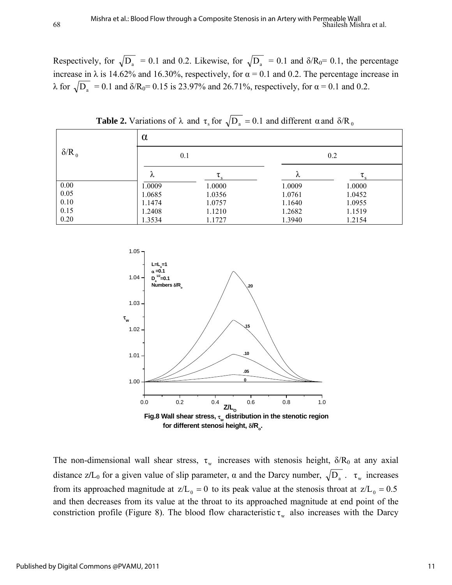Respectively, for  $\sqrt{D_a}$  = 0.1 and 0.2. Likewise, for  $\sqrt{D_a}$  = 0.1 and  $\delta/R_0$  = 0.1, the percentage increase in  $\lambda$  is 14.62% and 16.30%, respectively, for  $\alpha = 0.1$  and 0.2. The percentage increase in  $\lambda$  for  $\sqrt{D_a}$  = 0.1 and δ/R<sub>0</sub>= 0.15 is 23.97% and 26.71%, respectively, for α = 0.1 and 0.2.

| $\delta/R_0$ | $\alpha$ |        |        |        |  |  |
|--------------|----------|--------|--------|--------|--|--|
|              | 0.1      |        | 0.2    |        |  |  |
|              | λ        |        | λ      |        |  |  |
| 0.00         | 1.0009   | 1.0000 | 1.0009 | 1.0000 |  |  |
| 0.05         | 1.0685   | 1.0356 | 1.0761 | 1.0452 |  |  |
| 0.10         | 1.1474   | 1.0757 | 1.1640 | 1.0955 |  |  |
| 0.15         | 1.2408   | 1.1210 | 1.2682 | 1.1519 |  |  |
| 0.20         | 1.3534   | 1.1727 | 1.3940 | 1.2154 |  |  |

**Table 2.** Variations of  $\lambda$  and  $\tau_s$  for  $\sqrt{D_a} = 0.1$  and different  $\alpha$  and  $\delta/R_0$ 



The non-dimensional wall shear stress,  $\tau_w$  increases with stenosis height,  $\delta/R_0$  at any axial distance z/L<sub>0</sub> for a given value of slip parameter,  $\alpha$  and the Darcy number,  $\sqrt{D_a}$ .  $\tau_w$  increases from its approached magnitude at  $z/L_0 = 0$  to its peak value at the stenosis throat at  $z/L_0 = 0.5$ and then decreases from its value at the throat to its approached magnitude at end point of the constriction profile (Figure 8). The blood flow characteristic  $\tau_w$  also increases with the Darcy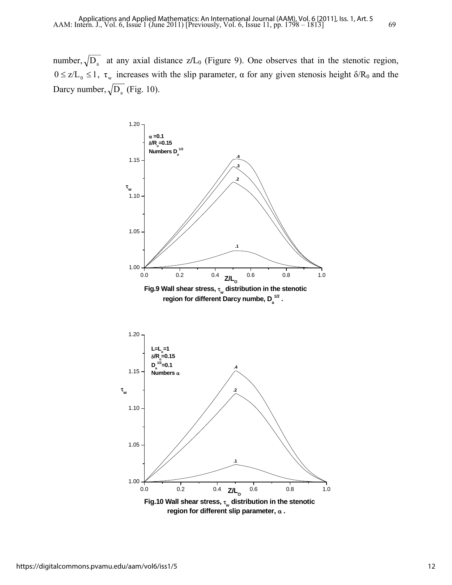number,  $\sqrt{D_a}$  at any axial distance z/L<sub>0</sub> (Figure 9). One observes that in the stenotic region,  $0 \le z/L_0 \le 1$ ,  $\tau_w$  increases with the slip parameter,  $\alpha$  for any given stenosis height  $\delta/R_0$  and the Darcy number,  $\sqrt{D_a}$  (Fig. 10).

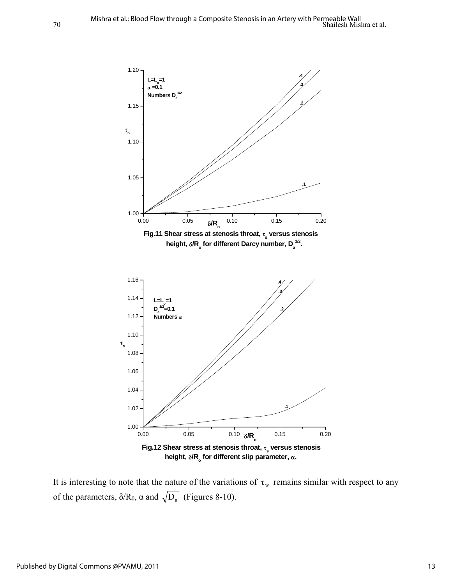

It is interesting to note that the nature of the variations of  $\tau_w$  remains similar with respect to any of the parameters,  $\delta/R_0$ ,  $\alpha$  and  $\sqrt{D_a}$  (Figures 8-10).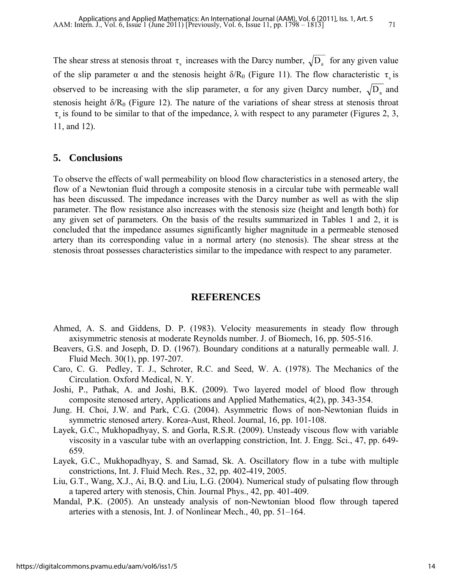The shear stress at stenosis throat  $\tau_s$  increases with the Darcy number,  $\sqrt{D_a}$  for any given value of the slip parameter  $\alpha$  and the stenosis height  $\delta/R_0$  (Figure 11). The flow characteristic  $\tau_s$  is observed to be increasing with the slip parameter,  $\alpha$  for any given Darcy number,  $\sqrt{D_a}$  and stenosis height  $\delta/R_0$  (Figure 12). The nature of the variations of shear stress at stenosis throat  $\tau$  is found to be similar to that of the impedance,  $\lambda$  with respect to any parameter (Figures 2, 3, 11, and 12).

#### **5. Conclusions**

To observe the effects of wall permeability on blood flow characteristics in a stenosed artery, the flow of a Newtonian fluid through a composite stenosis in a circular tube with permeable wall has been discussed. The impedance increases with the Darcy number as well as with the slip parameter. The flow resistance also increases with the stenosis size (height and length both) for any given set of parameters. On the basis of the results summarized in Tables 1 and 2, it is concluded that the impedance assumes significantly higher magnitude in a permeable stenosed artery than its corresponding value in a normal artery (no stenosis). The shear stress at the stenosis throat possesses characteristics similar to the impedance with respect to any parameter.

#### **REFERENCES**

- Ahmed, A. S. and Giddens, D. P. (1983). Velocity measurements in steady flow through axisymmetric stenosis at moderate Reynolds number. J. of Biomech, 16, pp. 505-516.
- Beavers, G.S. and Joseph, D. D. (1967). Boundary conditions at a naturally permeable wall. J. Fluid Mech. 30(1), pp. 197-207.
- Caro, C. G. Pedley, T. J., Schroter, R.C. and Seed, W. A. (1978). The Mechanics of the Circulation. Oxford Medical, N. Y.
- Joshi, P., Pathak, A. and Joshi, B.K. (2009). Two layered model of blood flow through composite stenosed artery, Applications and Applied Mathematics, 4(2), pp. 343-354.
- Jung. H. Choi, J.W. and Park, C.G. (2004). Asymmetric flows of non-Newtonian fluids in symmetric stenosed artery. Korea-Aust, Rheol. Journal, 16, pp. 101-108.
- Layek, G.C., Mukhopadhyay, S. and Gorla, R.S.R. (2009). Unsteady viscous flow with variable viscosity in a vascular tube with an overlapping constriction, Int. J. Engg. Sci., 47, pp. 649- 659.
- Layek, G.C., Mukhopadhyay, S. and Samad, Sk. A. Oscillatory flow in a tube with multiple constrictions, Int. J. Fluid Mech. Res., 32, pp. 402-419, 2005.
- Liu, G.T., Wang, X.J., Ai, B.Q. and Liu, L.G. (2004). Numerical study of pulsating flow through a tapered artery with stenosis, Chin. Journal Phys., 42, pp. 401-409.
- Mandal, P.K. (2005). An unsteady analysis of non-Newtonian blood flow through tapered arteries with a stenosis, Int. J. of Nonlinear Mech., 40, pp. 51–164.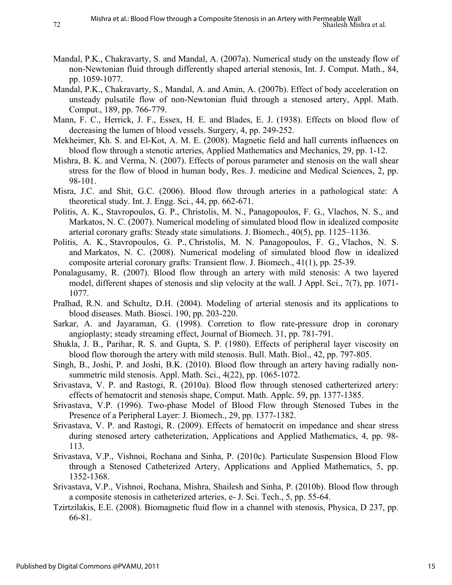- Mandal, P.K., Chakravarty, S. and Mandal, A. (2007a). Numerical study on the unsteady flow of non-Newtonian fluid through differently shaped arterial stenosis, Int. J. Comput. Math., 84, pp. 1059-1077.
- Mandal, P.K., Chakravarty, S., Mandal, A. and Amin, A. (2007b). Effect of body acceleration on unsteady pulsatile flow of non-Newtonian fluid through a stenosed artery, Appl. Math. Comput., 189, pp. 766-779.
- Mann, F. C., Herrick, J. F., Essex, H. E. and Blades, E. J. (1938). Effects on blood flow of decreasing the lumen of blood vessels. Surgery, 4, pp. 249-252.
- Mekheimer, Kh. S. and El-Kot, A. M. E. (2008). Magnetic field and hall currents influences on blood flow through a stenotic arteries, Applied Mathematics and Mechanics, 29, pp. 1-12.
- Mishra, B. K. and Verma, N. (2007). Effects of porous parameter and stenosis on the wall shear stress for the flow of blood in human body, Res. J. medicine and Medical Sciences, 2, pp. 98-101.
- Misra, J.C. and Shit, G.C. (2006). Blood flow through arteries in a pathological state: A theoretical study. Int. J. Engg. Sci., 44, pp. 662-671.
- Politis, A. K., Stavropoulos, G. P., Christolis, M. N., Panagopoulos, F. G., Vlachos, N. S., and Markatos, N. C. (2007). Numerical modeling of simulated blood flow in idealized composite arterial coronary grafts: Steady state simulations. J. Biomech., 40(5), pp. 1125–1136.
- Politis, A. K., Stavropoulos, G. P., Christolis, M. N. Panagopoulos, F. G., Vlachos, N. S. and Markatos, N. C. (2008). Numerical modeling of simulated blood flow in idealized composite arterial coronary grafts: Transient flow. J. Biomech., 41(1), pp. 25-39.
- Ponalagusamy, R. (2007). Blood flow through an artery with mild stenosis: A two layered model, different shapes of stenosis and slip velocity at the wall. J Appl. Sci., 7(7), pp. 1071- 1077.
- Pralhad, R.N. and Schultz, D.H. (2004). Modeling of arterial stenosis and its applications to blood diseases. Math. Biosci. 190, pp. 203-220.
- Sarkar, A. and Jayaraman, G. (1998). Corretion to flow rate-pressure drop in coronary angioplasty; steady streaming effect, Journal of Biomech. 31, pp. 781-791.
- Shukla, J. B., Parihar, R. S. and Gupta, S. P. (1980). Effects of peripheral layer viscosity on blood flow thorough the artery with mild stenosis. Bull. Math. Biol., 42, pp. 797-805.
- Singh, B., Joshi, P. and Joshi, B.K. (2010). Blood flow through an artery having radially nonsummetric mild stenosis. Appl. Math. Sci., 4(22), pp. 1065-1072.
- Srivastava, V. P. and Rastogi, R. (2010a). Blood flow through stenosed catherterized artery: effects of hematocrit and stenosis shape, Comput. Math. Applc. 59, pp. 1377-1385.
- Srivastava, V.P. (1996). Two-phase Model of Blood Flow through Stenosed Tubes in the Presence of a Peripheral Layer: J. Biomech., 29, pp. 1377-1382.
- Srivastava, V. P. and Rastogi, R. (2009). Effects of hematocrit on impedance and shear stress during stenosed artery catheterization, Applications and Applied Mathematics, 4, pp. 98- 113.
- Srivastava, V.P., Vishnoi, Rochana and Sinha, P. (2010c). Particulate Suspension Blood Flow through a Stenosed Catheterized Artery, Applications and Applied Mathematics, 5, pp. 1352-1368.
- Srivastava, V.P., Vishnoi, Rochana, Mishra, Shailesh and Sinha, P. (2010b). Blood flow through a composite stenosis in catheterized arteries, e- J. Sci. Tech., 5, pp. 55-64.
- Tzirtzilakis, E.E. (2008). Biomagnetic fluid flow in a channel with stenosis, Physica, D 237, pp. 66-81.